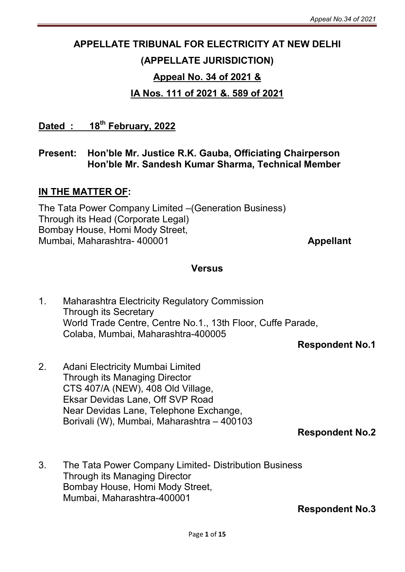# APPELLATE TRIBUNAL FOR ELECTRICITY AT NEW DELHI (APPELLATE JURISDICTION) Appeal No. 34 of 2021 &

# IA Nos. 111 of 2021 &. 589 of 2021

Dated : 18<sup>th</sup> February, 2022

## Present: Hon'ble Mr. Justice R.K. Gauba, Officiating Chairperson Hon'ble Mr. Sandesh Kumar Sharma, Technical Member

## IN THE MATTER OF:

The Tata Power Company Limited –(Generation Business) Through its Head (Corporate Legal) Bombay House, Homi Mody Street, Mumbai, Maharashtra- 400001 Appellant

#### **Versus**

1. Maharashtra Electricity Regulatory Commission Through its Secretary World Trade Centre, Centre No.1., 13th Floor, Cuffe Parade, Colaba, Mumbai, Maharashtra-400005

Respondent No.1

2. Adani Electricity Mumbai Limited Through its Managing Director CTS 407/A (NEW), 408 Old Village, Eksar Devidas Lane, Off SVP Road Near Devidas Lane, Telephone Exchange, Borivali (W), Mumbai, Maharashtra – 400103

Respondent No.2

3. The Tata Power Company Limited- Distribution Business Through its Managing Director Bombay House, Homi Mody Street, Mumbai, Maharashtra-400001

Respondent No.3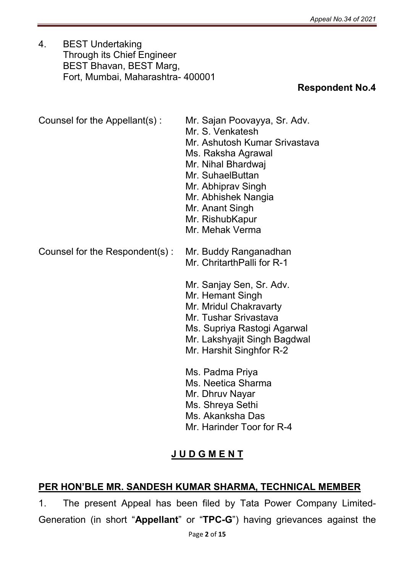4. BEST Undertaking Through its Chief Engineer BEST Bhavan, BEST Marg, Fort, Mumbai, Maharashtra- 400001

# Respondent No.4

| Counsel for the Appellant(s):  | Mr. Sajan Poovayya, Sr. Adv.<br>Mr. S. Venkatesh<br>Mr. Ashutosh Kumar Srivastava<br>Ms. Raksha Agrawal<br>Mr. Nihal Bhardwaj<br>Mr. SuhaelButtan<br>Mr. Abhiprav Singh<br>Mr. Abhishek Nangia<br>Mr. Anant Singh<br>Mr. RishubKapur<br>Mr. Mehak Verma |
|--------------------------------|---------------------------------------------------------------------------------------------------------------------------------------------------------------------------------------------------------------------------------------------------------|
| Counsel for the Respondent(s): | Mr. Buddy Ranganadhan<br>Mr. ChritarthPalli for R-1<br>Mr. Sanjay Sen, Sr. Adv.<br>Mr. Hemant Singh<br>Mr. Mridul Chakravarty<br>Mr. Tushar Srivastava<br>Ms. Supriya Rastogi Agarwal<br>Mr. Lakshyajit Singh Bagdwal<br>Mr. Harshit Singhfor R-2       |
|                                | Ms. Padma Priya<br>Ms. Neetica Sharma<br>Mr. Dhruv Nayar<br>Ms. Shreya Sethi<br>Ms. Akanksha Das<br>Mr. Harinder Toor for R-4                                                                                                                           |

# J U D G M E N T

# PER HON'BLE MR. SANDESH KUMAR SHARMA, TECHNICAL MEMBER

1. The present Appeal has been filed by Tata Power Company Limited-Generation (in short "Appellant" or "TPC-G") having grievances against the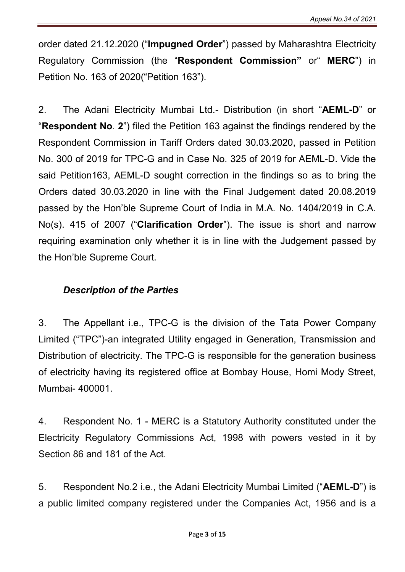order dated 21.12.2020 ("Impugned Order") passed by Maharashtra Electricity Regulatory Commission (the "Respondent Commission" or" MERC") in Petition No. 163 of 2020("Petition 163").

2. The Adani Electricity Mumbai Ltd.- Distribution (in short "AEML-D" or "Respondent No. 2") filed the Petition 163 against the findings rendered by the Respondent Commission in Tariff Orders dated 30.03.2020, passed in Petition No. 300 of 2019 for TPC-G and in Case No. 325 of 2019 for AEML-D. Vide the said Petition163, AEML-D sought correction in the findings so as to bring the Orders dated 30.03.2020 in line with the Final Judgement dated 20.08.2019 passed by the Hon'ble Supreme Court of India in M.A. No. 1404/2019 in C.A. No(s). 415 of 2007 ("Clarification Order"). The issue is short and narrow requiring examination only whether it is in line with the Judgement passed by the Hon'ble Supreme Court.

#### *Description of the Parties*

3. The Appellant i.e., TPC-G is the division of the Tata Power Company Limited ("TPC")-an integrated Utility engaged in Generation, Transmission and Distribution of electricity. The TPC-G is responsible for the generation business of electricity having its registered office at Bombay House, Homi Mody Street, Mumbai- 400001.

4. Respondent No. 1 - MERC is a Statutory Authority constituted under the Electricity Regulatory Commissions Act, 1998 with powers vested in it by Section 86 and 181 of the Act.

5. Respondent No.2 i.e., the Adani Electricity Mumbai Limited ("AEML-D") is a public limited company registered under the Companies Act, 1956 and is a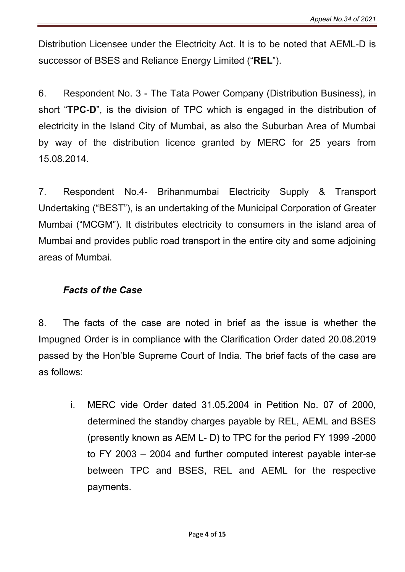Distribution Licensee under the Electricity Act. It is to be noted that AEML-D is successor of BSES and Reliance Energy Limited ("REL").

6. Respondent No. 3 - The Tata Power Company (Distribution Business), in short "TPC-D", is the division of TPC which is engaged in the distribution of electricity in the Island City of Mumbai, as also the Suburban Area of Mumbai by way of the distribution licence granted by MERC for 25 years from 15.08.2014.

7. Respondent No.4- Brihanmumbai Electricity Supply & Transport Undertaking ("BEST"), is an undertaking of the Municipal Corporation of Greater Mumbai ("MCGM"). It distributes electricity to consumers in the island area of Mumbai and provides public road transport in the entire city and some adjoining areas of Mumbai.

## *Facts of the Case*

8. The facts of the case are noted in brief as the issue is whether the Impugned Order is in compliance with the Clarification Order dated 20.08.2019 passed by the Hon'ble Supreme Court of India. The brief facts of the case are as follows:

i. MERC vide Order dated 31.05.2004 in Petition No. 07 of 2000, determined the standby charges payable by REL, AEML and BSES (presently known as AEM L- D) to TPC for the period FY 1999 -2000 to FY 2003 – 2004 and further computed interest payable inter-se between TPC and BSES, REL and AEML for the respective payments.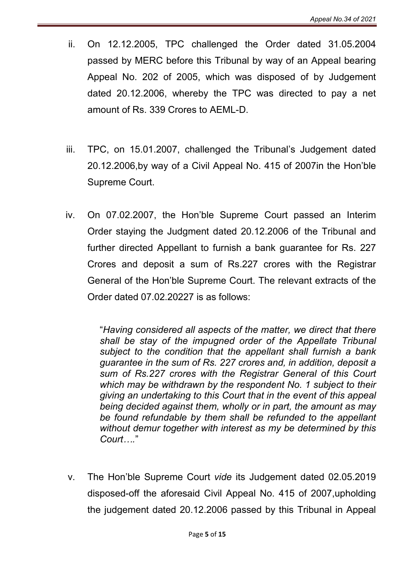- ii. On 12.12.2005, TPC challenged the Order dated 31.05.2004 passed by MERC before this Tribunal by way of an Appeal bearing Appeal No. 202 of 2005, which was disposed of by Judgement dated 20.12.2006, whereby the TPC was directed to pay a net amount of Rs. 339 Crores to AEML-D.
- iii. TPC, on 15.01.2007, challenged the Tribunal's Judgement dated 20.12.2006,by way of a Civil Appeal No. 415 of 2007in the Hon'ble Supreme Court.
- iv. On 07.02.2007, the Hon'ble Supreme Court passed an Interim Order staying the Judgment dated 20.12.2006 of the Tribunal and further directed Appellant to furnish a bank guarantee for Rs. 227 Crores and deposit a sum of Rs.227 crores with the Registrar General of the Hon'ble Supreme Court. The relevant extracts of the Order dated 07.02.20227 is as follows:

"*Having considered all aspects of the matter, we direct that there shall be stay of the impugned order of the Appellate Tribunal subject to the condition that the appellant shall furnish a bank guarantee in the sum of Rs. 227 crores and, in addition, deposit a sum of Rs.227 crores with the Registrar General of this Court which may be withdrawn by the respondent No. 1 subject to their giving an undertaking to this Court that in the event of this appeal being decided against them, wholly or in part, the amount as may be found refundable by them shall be refunded to the appellant without demur together with interest as my be determined by this Court….*"

v. The Hon'ble Supreme Court *vide* its Judgement dated 02.05.2019 disposed-off the aforesaid Civil Appeal No. 415 of 2007,upholding the judgement dated 20.12.2006 passed by this Tribunal in Appeal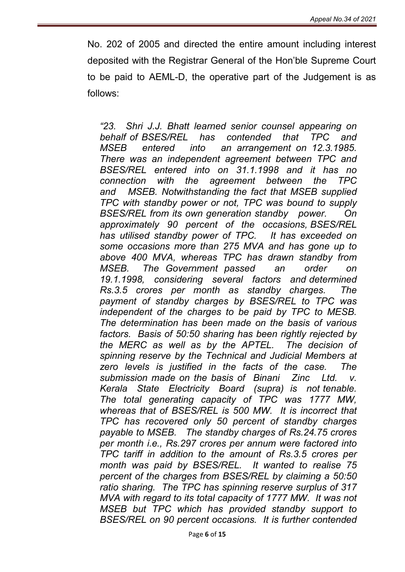No. 202 of 2005 and directed the entire amount including interest deposited with the Registrar General of the Hon'ble Supreme Court to be paid to AEML-D, the operative part of the Judgement is as follows:

*"23. Shri J.J. Bhatt learned senior counsel appearing on behalf of BSES/REL has contended that TPC and MSEB entered into an arrangement on 12.3.1985. There was an independent agreement between TPC and BSES/REL entered into on 31.1.1998 and it has no connection with the agreement between the TPC and MSEB. Notwithstanding the fact that MSEB supplied TPC with standby power or not, TPC was bound to supply BSES/REL from its own generation standby power. On approximately 90 percent of the occasions, BSES/REL has utilised standby power of TPC. It has exceeded on some occasions more than 275 MVA and has gone up to above 400 MVA, whereas TPC has drawn standby from MSEB. The Government passed an order on 19.1.1998, considering several factors and determined Rs.3.5 crores per month as standby charges. The payment of standby charges by BSES/REL to TPC was independent of the charges to be paid by TPC to MESB. The determination has been made on the basis of various factors. Basis of 50:50 sharing has been rightly rejected by the MERC as well as by the APTEL. The decision of spinning reserve by the Technical and Judicial Members at zero levels is justified in the facts of the case. The submission made on the basis of Binani Zinc Ltd. v. Kerala State Electricity Board (supra) is not tenable. The total generating capacity of TPC was 1777 MW, whereas that of BSES/REL is 500 MW. It is incorrect that TPC has recovered only 50 percent of standby charges payable to MSEB. The standby charges of Rs.24.75 crores per month i.e., Rs.297 crores per annum were factored into TPC tariff in addition to the amount of Rs.3.5 crores per month was paid by BSES/REL. It wanted to realise 75 percent of the charges from BSES/REL by claiming a 50:50 ratio sharing. The TPC has spinning reserve surplus of 317 MVA with regard to its total capacity of 1777 MW. It was not MSEB but TPC which has provided standby support to BSES/REL on 90 percent occasions. It is further contended*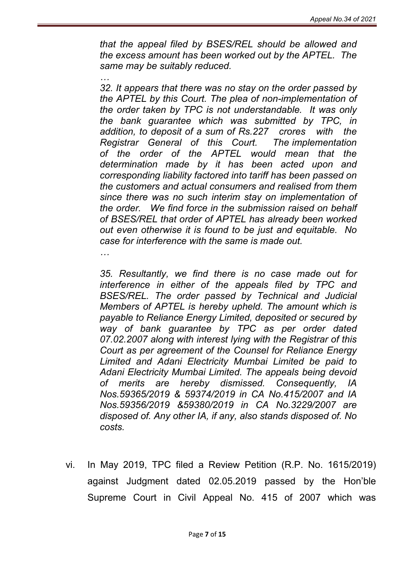*that the appeal filed by BSES/REL should be allowed and the excess amount has been worked out by the APTEL. The same may be suitably reduced.*

*32. It appears that there was no stay on the order passed by the APTEL by this Court. The plea of non-implementation of the order taken by TPC is not understandable. It was only the bank guarantee which was submitted by TPC, in addition, to deposit of a sum of Rs.227 crores with the Registrar General of this Court. The implementation of the order of the APTEL would mean that the determination made by it has been acted upon and corresponding liability factored into tariff has been passed on the customers and actual consumers and realised from them since there was no such interim stay on implementation of the order. We find force in the submission raised on behalf of BSES/REL that order of APTEL has already been worked out even otherwise it is found to be just and equitable. No case for interference with the same is made out.*

*…*

*…*

*35. Resultantly, we find there is no case made out for interference in either of the appeals filed by TPC and BSES/REL. The order passed by Technical and Judicial Members of APTEL is hereby upheld. The amount which is payable to Reliance Energy Limited, deposited or secured by way of bank guarantee by TPC as per order dated 07.02.2007 along with interest lying with the Registrar of this Court as per agreement of the Counsel for Reliance Energy Limited and Adani Electricity Mumbai Limited be paid to Adani Electricity Mumbai Limited. The appeals being devoid of merits are hereby dismissed. Consequently, IA Nos.59365/2019 & 59374/2019 in CA No.415/2007 and IA Nos.59356/2019 &59380/2019 in CA No.3229/2007 are disposed of. Any other IA, if any, also stands disposed of. No costs.*

vi. In May 2019, TPC filed a Review Petition (R.P. No. 1615/2019) against Judgment dated 02.05.2019 passed by the Hon'ble Supreme Court in Civil Appeal No. 415 of 2007 which was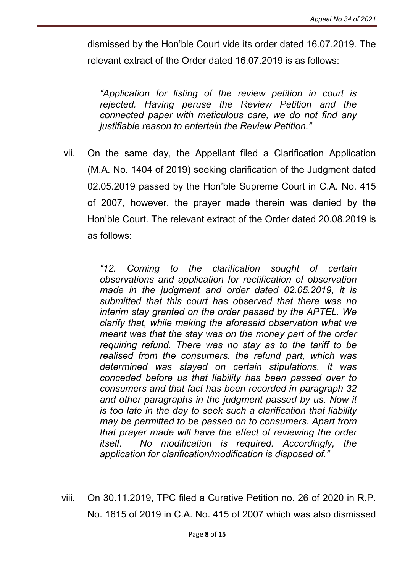dismissed by the Hon'ble Court vide its order dated 16.07.2019. The relevant extract of the Order dated 16.07.2019 is as follows:

*"Application for listing of the review petition in court is rejected. Having peruse the Review Petition and the connected paper with meticulous care, we do not find any justifiable reason to entertain the Review Petition."*

vii. On the same day, the Appellant filed a Clarification Application (M.A. No. 1404 of 2019) seeking clarification of the Judgment dated 02.05.2019 passed by the Hon'ble Supreme Court in C.A. No. 415 of 2007, however, the prayer made therein was denied by the Hon'ble Court. The relevant extract of the Order dated 20.08.2019 is as follows:

> *"12. Coming to the clarification sought of certain observations and application for rectification of observation made in the judgment and order dated 02.05.2019, it is submitted that this court has observed that there was no interim stay granted on the order passed by the APTEL. We clarify that, while making the aforesaid observation what we meant was that the stay was on the money part of the order requiring refund. There was no stay as to the tariff to be realised from the consumers. the refund part, which was determined was stayed on certain stipulations. It was conceded before us that liability has been passed over to consumers and that fact has been recorded in paragraph 32*  and other paragraphs in the judgment passed by us. Now it *is too late in the day to seek such a clarification that liability may be permitted to be passed on to consumers. Apart from that prayer made will have the effect of reviewing the order itself. No modification is required. Accordingly, the application for clarification/modification is disposed of."*

viii. On 30.11.2019, TPC filed a Curative Petition no. 26 of 2020 in R.P. No. 1615 of 2019 in C.A. No. 415 of 2007 which was also dismissed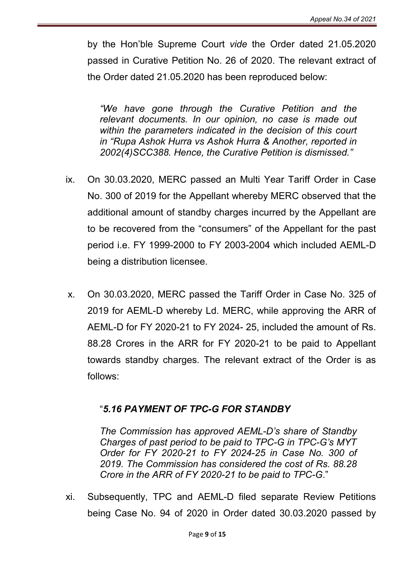by the Hon'ble Supreme Court *vide* the Order dated 21.05.2020 passed in Curative Petition No. 26 of 2020. The relevant extract of the Order dated 21.05.2020 has been reproduced below:

*"We have gone through the Curative Petition and the relevant documents. In our opinion, no case is made out within the parameters indicated in the decision of this court in "Rupa Ashok Hurra vs Ashok Hurra & Another, reported in 2002(4)SCC388. Hence, the Curative Petition is dismissed."*

- ix. On 30.03.2020, MERC passed an Multi Year Tariff Order in Case No. 300 of 2019 for the Appellant whereby MERC observed that the additional amount of standby charges incurred by the Appellant are to be recovered from the "consumers" of the Appellant for the past period i.e. FY 1999-2000 to FY 2003-2004 which included AEML-D being a distribution licensee.
- x. On 30.03.2020, MERC passed the Tariff Order in Case No. 325 of 2019 for AEML-D whereby Ld. MERC, while approving the ARR of AEML-D for FY 2020-21 to FY 2024- 25, included the amount of Rs. 88.28 Crores in the ARR for FY 2020-21 to be paid to Appellant towards standby charges. The relevant extract of the Order is as follows:

# "*5.16 PAYMENT OF TPC-G FOR STANDBY*

*The Commission has approved AEML-D's share of Standby Charges of past period to be paid to TPC-G in TPC-G's MYT Order for FY 2020-21 to FY 2024-25 in Case No. 300 of 2019. The Commission has considered the cost of Rs. 88.28 Crore in the ARR of FY 2020-21 to be paid to TPC-G*."

xi. Subsequently, TPC and AEML-D filed separate Review Petitions being Case No. 94 of 2020 in Order dated 30.03.2020 passed by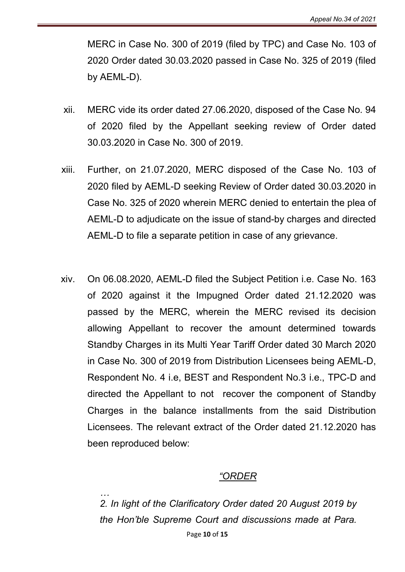MERC in Case No. 300 of 2019 (filed by TPC) and Case No. 103 of 2020 Order dated 30.03.2020 passed in Case No. 325 of 2019 (filed by AEML-D).

- xii. MERC vide its order dated 27.06.2020, disposed of the Case No. 94 of 2020 filed by the Appellant seeking review of Order dated 30.03.2020 in Case No. 300 of 2019.
- xiii. Further, on 21.07.2020, MERC disposed of the Case No. 103 of 2020 filed by AEML-D seeking Review of Order dated 30.03.2020 in Case No. 325 of 2020 wherein MERC denied to entertain the plea of AEML-D to adjudicate on the issue of stand-by charges and directed AEML-D to file a separate petition in case of any grievance.
- xiv. On 06.08.2020, AEML-D filed the Subject Petition i.e. Case No. 163 of 2020 against it the Impugned Order dated 21.12.2020 was passed by the MERC, wherein the MERC revised its decision allowing Appellant to recover the amount determined towards Standby Charges in its Multi Year Tariff Order dated 30 March 2020 in Case No. 300 of 2019 from Distribution Licensees being AEML-D, Respondent No. 4 i.e, BEST and Respondent No.3 i.e., TPC-D and directed the Appellant to not recover the component of Standby Charges in the balance installments from the said Distribution Licensees. The relevant extract of the Order dated 21.12.2020 has been reproduced below:

## *"ORDER*

Page 10 of 15 *… 2. In light of the Clarificatory Order dated 20 August 2019 by the Hon'ble Supreme Court and discussions made at Para.*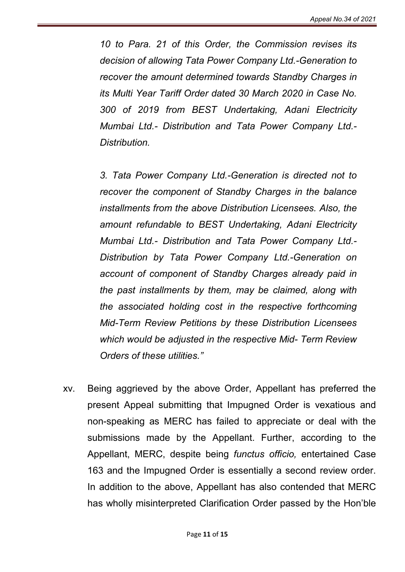*10 to Para. 21 of this Order, the Commission revises its decision of allowing Tata Power Company Ltd.-Generation to recover the amount determined towards Standby Charges in its Multi Year Tariff Order dated 30 March 2020 in Case No. 300 of 2019 from BEST Undertaking, Adani Electricity Mumbai Ltd.- Distribution and Tata Power Company Ltd.- Distribution.*

*3. Tata Power Company Ltd.-Generation is directed not to recover the component of Standby Charges in the balance installments from the above Distribution Licensees. Also, the amount refundable to BEST Undertaking, Adani Electricity Mumbai Ltd.- Distribution and Tata Power Company Ltd.- Distribution by Tata Power Company Ltd.-Generation on account of component of Standby Charges already paid in the past installments by them, may be claimed, along with the associated holding cost in the respective forthcoming Mid-Term Review Petitions by these Distribution Licensees which would be adjusted in the respective Mid- Term Review Orders of these utilities."*

xv. Being aggrieved by the above Order, Appellant has preferred the present Appeal submitting that Impugned Order is vexatious and non-speaking as MERC has failed to appreciate or deal with the submissions made by the Appellant. Further, according to the Appellant, MERC, despite being *functus officio,* entertained Case 163 and the Impugned Order is essentially a second review order. In addition to the above, Appellant has also contended that MERC has wholly misinterpreted Clarification Order passed by the Hon'ble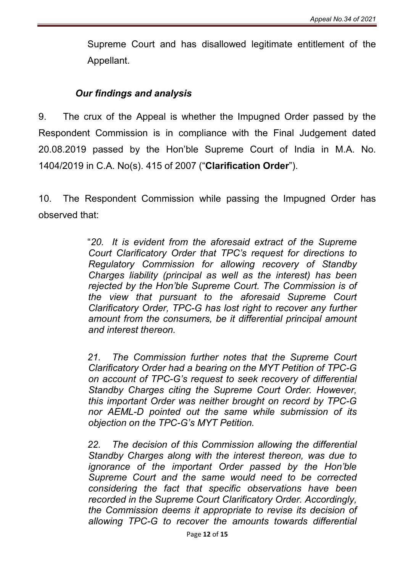Supreme Court and has disallowed legitimate entitlement of the Appellant.

## *Our findings and analysis*

9. The crux of the Appeal is whether the Impugned Order passed by the Respondent Commission is in compliance with the Final Judgement dated 20.08.2019 passed by the Hon'ble Supreme Court of India in M.A. No. 1404/2019 in C.A. No(s). 415 of 2007 ("Clarification Order").

10. The Respondent Commission while passing the Impugned Order has observed that:

> "*20. It is evident from the aforesaid extract of the Supreme Court Clarificatory Order that TPC's request for directions to Regulatory Commission for allowing recovery of Standby Charges liability (principal as well as the interest) has been rejected by the Hon'ble Supreme Court. The Commission is of the view that pursuant to the aforesaid Supreme Court Clarificatory Order, TPC-G has lost right to recover any further amount from the consumers, be it differential principal amount and interest thereon.*

> *21. The Commission further notes that the Supreme Court Clarificatory Order had a bearing on the MYT Petition of TPC-G on account of TPC-G's request to seek recovery of differential Standby Charges citing the Supreme Court Order. However, this important Order was neither brought on record by TPC-G nor AEML-D pointed out the same while submission of its objection on the TPC-G's MYT Petition.*

> *22. The decision of this Commission allowing the differential Standby Charges along with the interest thereon, was due to ignorance of the important Order passed by the Hon'ble Supreme Court and the same would need to be corrected considering the fact that specific observations have been recorded in the Supreme Court Clarificatory Order. Accordingly, the Commission deems it appropriate to revise its decision of allowing TPC-G to recover the amounts towards differential*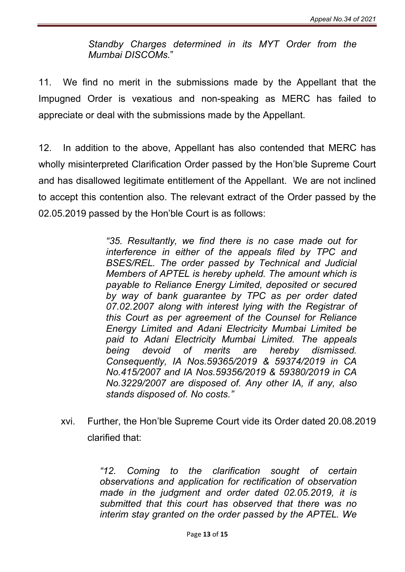*Standby Charges determined in its MYT Order from the Mumbai DISCOMs.*"

11. We find no merit in the submissions made by the Appellant that the Impugned Order is vexatious and non-speaking as MERC has failed to appreciate or deal with the submissions made by the Appellant.

12. In addition to the above, Appellant has also contended that MERC has wholly misinterpreted Clarification Order passed by the Hon'ble Supreme Court and has disallowed legitimate entitlement of the Appellant. We are not inclined to accept this contention also. The relevant extract of the Order passed by the 02.05.2019 passed by the Hon'ble Court is as follows:

> *"35. Resultantly, we find there is no case made out for interference in either of the appeals filed by TPC and BSES/REL. The order passed by Technical and Judicial Members of APTEL is hereby upheld. The amount which is payable to Reliance Energy Limited, deposited or secured by way of bank guarantee by TPC as per order dated 07.02.2007 along with interest lying with the Registrar of this Court as per agreement of the Counsel for Reliance Energy Limited and Adani Electricity Mumbai Limited be paid to Adani Electricity Mumbai Limited. The appeals being devoid of merits are hereby dismissed. Consequently, IA Nos.59365/2019 & 59374/2019 in CA No.415/2007 and IA Nos.59356/2019 & 59380/2019 in CA No.3229/2007 are disposed of. Any other IA, if any, also stands disposed of. No costs."*

xvi. Further, the Hon'ble Supreme Court vide its Order dated 20.08.2019 clarified that:

> *"12. Coming to the clarification sought of certain observations and application for rectification of observation made in the judgment and order dated 02.05.2019, it is submitted that this court has observed that there was no interim stay granted on the order passed by the APTEL. We*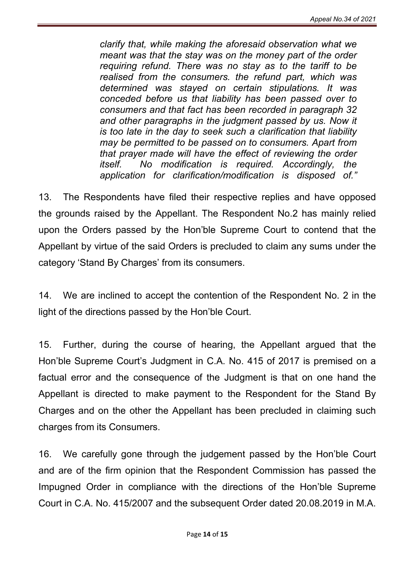*clarify that, while making the aforesaid observation what we meant was that the stay was on the money part of the order requiring refund. There was no stay as to the tariff to be realised from the consumers. the refund part, which was determined was stayed on certain stipulations. It was conceded before us that liability has been passed over to consumers and that fact has been recorded in paragraph 32 and other paragraphs in the judgment passed by us. Now it is too late in the day to seek such a clarification that liability may be permitted to be passed on to consumers. Apart from that prayer made will have the effect of reviewing the order itself. No modification is required. Accordingly, the application for clarification/modification is disposed of."*

13. The Respondents have filed their respective replies and have opposed the grounds raised by the Appellant. The Respondent No.2 has mainly relied upon the Orders passed by the Hon'ble Supreme Court to contend that the Appellant by virtue of the said Orders is precluded to claim any sums under the category 'Stand By Charges' from its consumers.

14. We are inclined to accept the contention of the Respondent No. 2 in the light of the directions passed by the Hon'ble Court.

15. Further, during the course of hearing, the Appellant argued that the Hon'ble Supreme Court's Judgment in C.A. No. 415 of 2017 is premised on a factual error and the consequence of the Judgment is that on one hand the Appellant is directed to make payment to the Respondent for the Stand By Charges and on the other the Appellant has been precluded in claiming such charges from its Consumers.

16. We carefully gone through the judgement passed by the Hon'ble Court and are of the firm opinion that the Respondent Commission has passed the Impugned Order in compliance with the directions of the Hon'ble Supreme Court in C.A. No. 415/2007 and the subsequent Order dated 20.08.2019 in M.A.